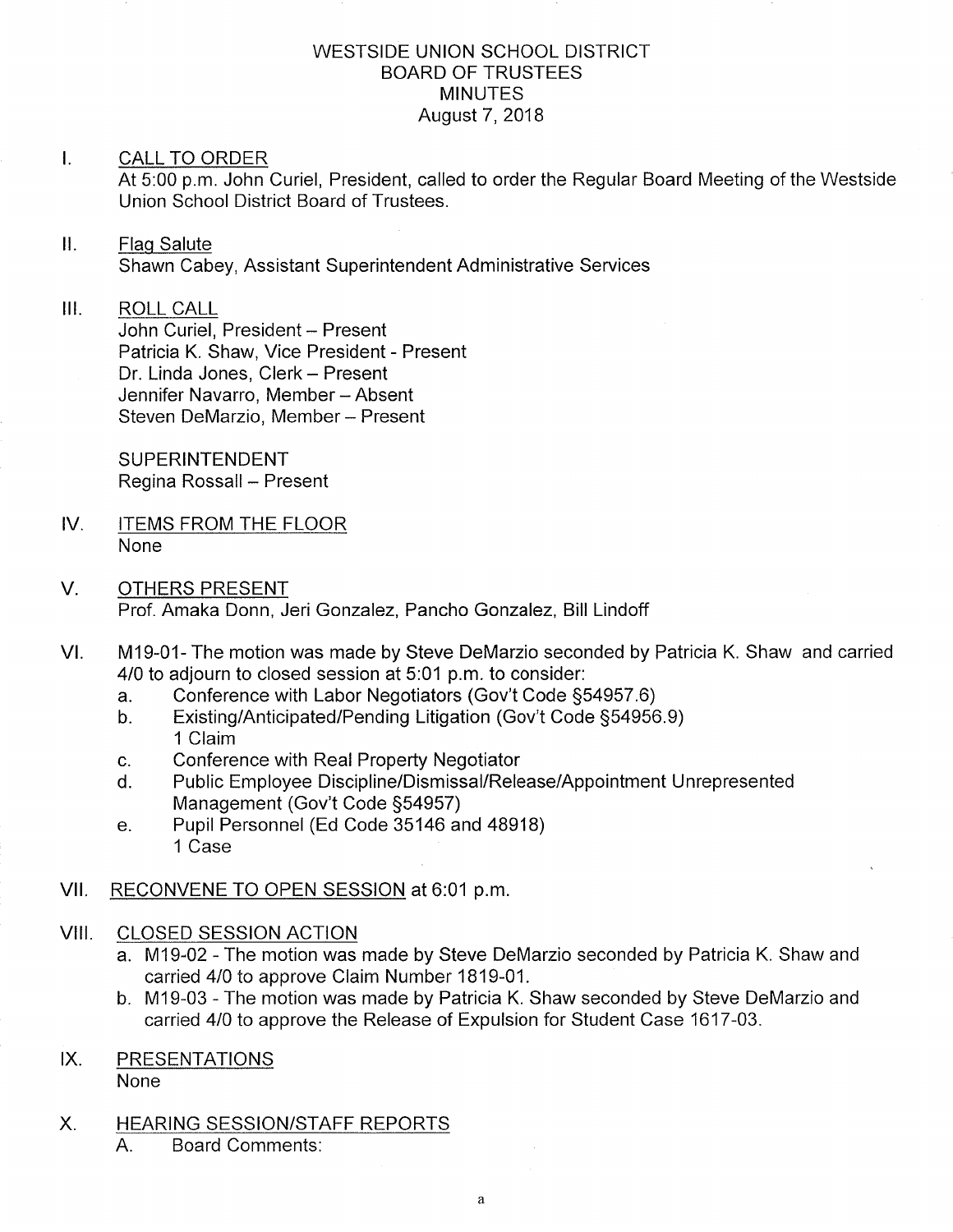#### WESTSIDE UNION SCHOOL DISTRICT BOARD OF TRUSTEES MINUTES August 7,2018

#### I. CALL TO ORDER

At 5:00 p.m. John Curiel, President, called to order the Regular Board Meeting of the Westside Union School District Board of Trustees.

#### ll. Flaq Salute

Shawn Cabey, Assistant Superintendent Administrative Services

#### $III.$ ROLL CALL

John Curiel, President - Present Patricia K. Shaw, Vice President - Present Dr. Linda Jones, Clerk - Present Jennifer Navarro, Member - Absent Steven DeMarzio, Member - Present

SUPERINTENDENT Regina Rossall - Present

- IV. ITEMS FROM THE FLOOR None
- V. OTHERS PRESENT Prof. Amaka Donn, Jeri Gonzalez, Pancho Gonzalez, Bill Lindoff
- M19-01- The motion was made by Steve DeMarzio seconded by Patricia K. Shaw and carried 4/0 to adjourn to closed session at 5:01 p.m. to consider:<br>a. Conference with Labor Negotiators (Gov't Code §54957.6) VI
	-
	- a. Conference with Labor Negotiators (Gov't Code §54957.6)<br>b. Existing/Anticipated/Pending Litigation (Gov't Code §54956.9)<br>1 Claim
	-
	- c. Conference with Real Property Negotiator<br>d. Public Employee Discipline/Dismissal/Release/Appointment Unrepresented Management (Gov't Code 554957) e. Pupil Personnel (Ed Code 35146 and 48918)
	- 1 Case

# VII. RECONVENE TO OPEN SESSION at 6:01 p.m.

### VIII. CLOSED SESSION ACTION

- a. M19-02 The motion was made by Steve DeMarzio seconded by Patricia K. Shaw and carried 410 to approve Claim Number 1819-01.
- b. M19-03 The motion was made by Patricia K. Shaw seconded by Steve DeMarzio and carried 410 to approve the Release of Expulsion for Student Case 1617-03.

# IX. PRESENTATIONS

None

- X. HEARING SESSION/STAFF REPORTS
	- A. Board Comments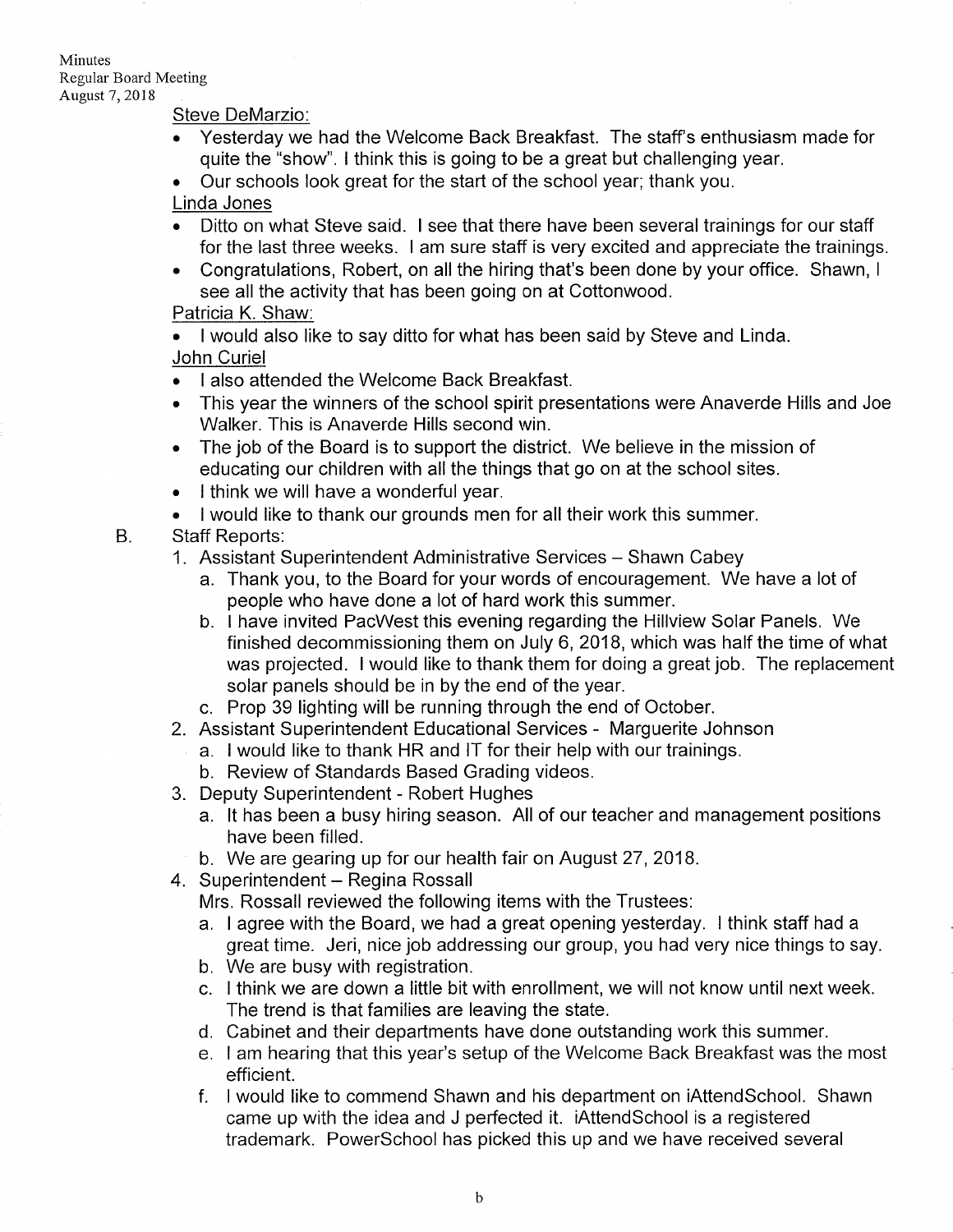Minutes

Regular Board Meeting August 7, 2018

#### Steve DeMarzio

- Yesterday we had the Welcome Back Breakfast. The staff's enthusiasm made for quite the "show". I think this is going to be a great but challenging year.
- . Our schools look great for the start of the school year; thank you.

#### Linda Jones

- . Ditto on what Steve said. I see that there have been several trainings for our staff for the last three weeks. I am sure staff is very excited and appreciate the trainings.
- . Congratulations, Robert, on all the hiring that's been done by your office. Shawn, <sup>I</sup> see all the activity that has been going on at Cottonwood.

#### Patricia K. Shaw:

- I would also like to say ditto for what has been said by Steve and Linda. John Curiel
- . I also attended the Welcome Back Breakfast.
- . This year the winners of the school spirit presentations were Anaverde Hills and Joe Walker. This is Anaverde Hills second win.
- . The job of the Board is to support the district. We believe in the mission of educating our children with all the things that go on at the school sites.
- . I think we will have a wonderful year.
- . I would like to thank our grounds men for all their work this summer.
- B. Staff Reports:
	- 1. Assistant Superintendent Administrative Services Shawn Cabey
		- a. Thank you, to the Board for your words of encouragement. We have a lot of people who have done a lot of hard work this summer.
		- b. I have invited PacWest this evening regarding the Hillview Solar Panels. We finished decommissioning them on July 6,2018, which was half the time of what was projected. I would like to thank them for doing a great job. The replacement solar panels should be in by the end of the year.
		- c. Prop 39 lighting will be running through the end of October.
	- 2. Assistant Superintendent Educational Services Marguerite Johnson
		- a. I would like to thank HR and lT for their help with our trainings.
		- b. Review of Standards Based Grading videos.
	- 3. Deputy Superintendent Robert Hughes
		- a. lt has been a busy hiring season. All of our teacher and management positions have been filled.
	- b. We are gearing up for our health fair on August 27,2018. 4. Superintendent Regina Rossall
	-

Mrs. Rossall reviewed the following items with the Trustees:

- a. I agree with the Board, we had a great opening yesterday. I think staff had a great time. Jeri, nice job addressing our group, you had very nice things to say.
- b. We are busy with registration.
- c. I think we are down a little bit with enrollment, we will not know until next week. The trend is that families are leaving the state.
- d. Cabinet and their departments have done outstanding work this summer.
- e. I am hearing that this year's setup of the Welcome Back Breakfast was the most efficient.
- <sup>f</sup>. I would like to commend Shawn and his department on iAttendSchool. Shawn came up with the idea and J perfected it. iAttendSchool is a registered trademark. PowerSchool has picked this up and we have received several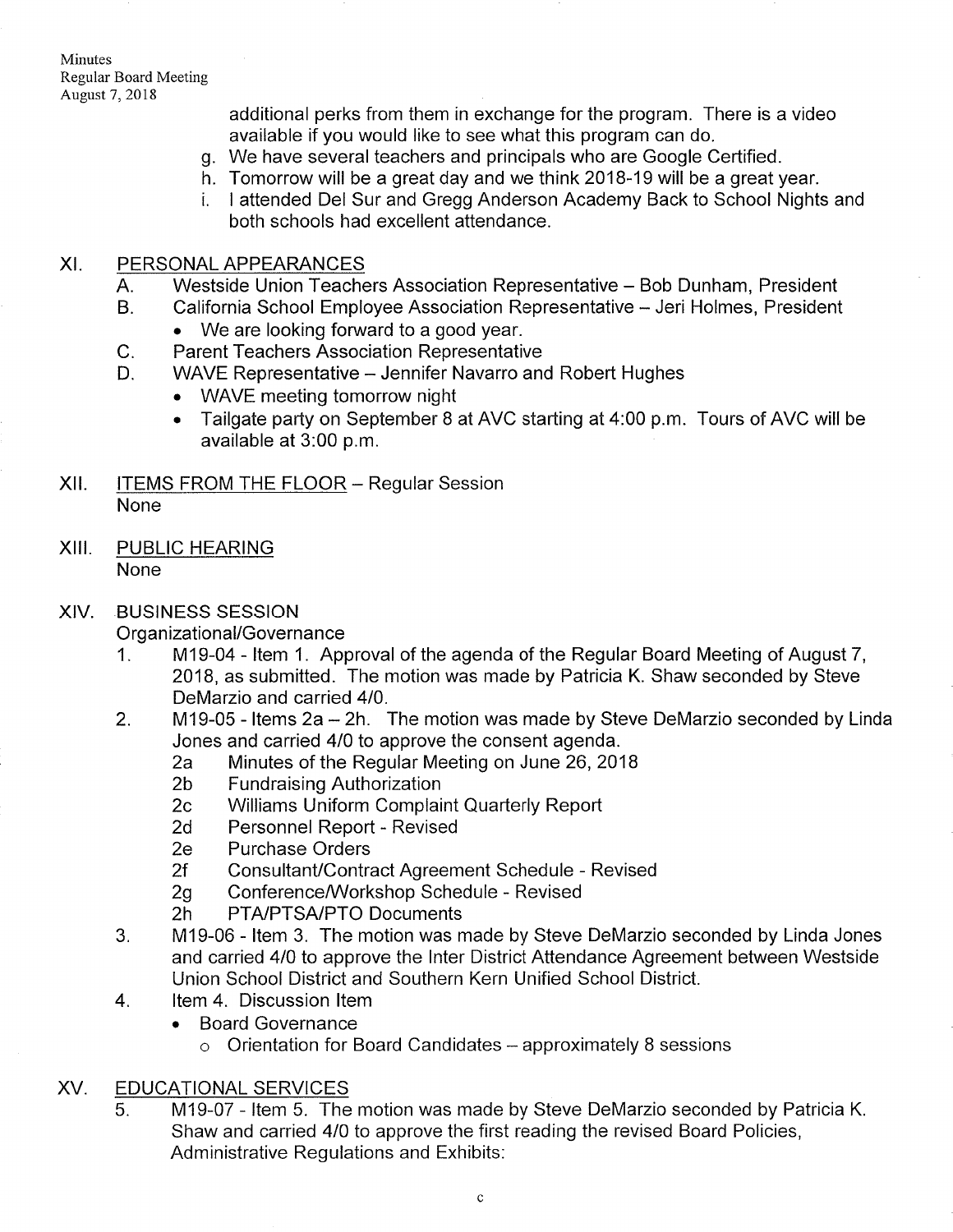Minutes Regular Board Meeting August 7, 2018

c.

additional perks from them in exchange for the program. There is a video available if you would like to see what this program can do.

- g. We have several teachers and principals who are Google Certified.
- h. Tomorrow will be a great day and we think 2018-19 will be a great year.<br>i. I attended Del Sur and Gregg Anderson Academy Back to School Nights and
- both schools had excellent attendance.

#### XI. PERSONAL APPEARANCES

- Westside Union Teachers Association Representative Bob Dunham, President A.
- California School Employee Association Representative Jeri Holmes, President  $\bullet$  We are looking forward to a good year. B.
	- Parent Teachers Association Representative
- WAVE Representative Jennifer Navarro and Robert Hughes D.
	- . WAVE meeting tomorrow night
	- . Tailgate party on September B at AVC starting at 4:00 p.m. Tours of AVC will be available at 3.00 p.m.
- XII. ITEMS FROM THE FLOOR Regular Session None
- XIII. PUBLIC HEARING None
- XIV. BUSINESS SESSION

- Organizational/Governance<br>1. M19-04 Item 1. Approval of the agenda of the Regular Board Meeting of August 7, 2018, as submitted. The motion was made by Patricia K, Shaw seconded by Steve DeMarzio and carried 410.
- 2. M19-05 Items 2a 2h. The motion was made by Steve DeMarzio seconded by Linda<br>Jones and carried 4/0 to approve the consent agenda.
	- 2a Minutes of the Regular Meeting on June 26, 2018<br>2b Fundraising Authorization<br>2c Williams Uniform Complaint Quarterly Report<br>2d Personnel Report Revised<br>2e Purchase Orders
	-
	-
	-
	-
	- 2f Consultant/Contract Agreement Schedule Revised<br>2g Conference/Workshop Schedule Revised<br>2h PTA/PTSA/PTO Documents
	-
	-
- 3. M19-06 ltem 3. The motion was made by Steve DeMarzio seconded by Linda Jones and carried 410 to approve the lnter District Attendance Agreement between Westside Union School District and Southern Kern Unified School District.
- 4. ltem 4. Discussion ltem
	- . Board Governance
		- $\circ$  Orientation for Board Candidates approximately 8 sessions

# XV. EDUCATIONAL SERVICES

M19-07 - ltem 5. The motion was made by Steve DeMarzio seconded by Patricia <sup>K</sup> Shaw and carried 410 to approve the first reading the revised Board Policies, Administrative Regulations and Exhibits: 5